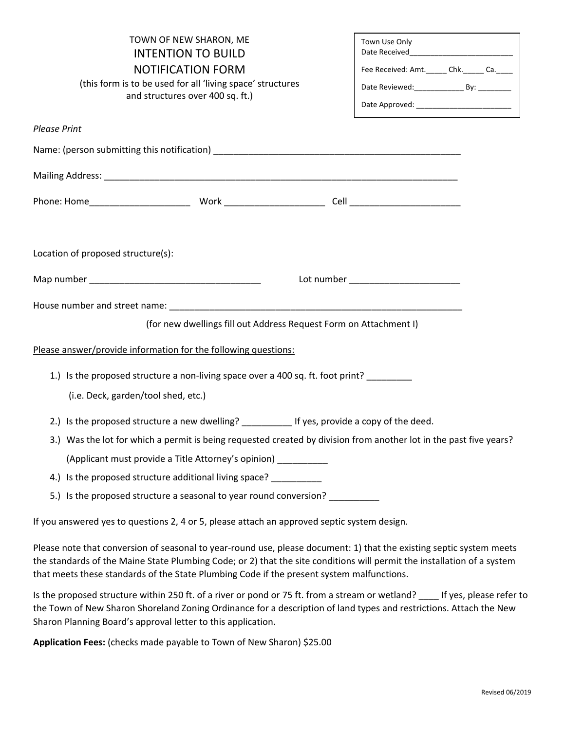| TOWN OF NEW SHARON, ME<br><b>INTENTION TO BUILD</b><br><b>NOTIFICATION FORM</b><br>(this form is to be used for all 'living space' structures<br>and structures over 400 sq. ft.) |                                                                   | Town Use Only<br>Fee Received: Amt.______ Chk.______ Ca._____<br>Date Reviewed: ________________ By: _________<br>Date Approved: ___________________________ |  |  |
|-----------------------------------------------------------------------------------------------------------------------------------------------------------------------------------|-------------------------------------------------------------------|--------------------------------------------------------------------------------------------------------------------------------------------------------------|--|--|
| <b>Please Print</b>                                                                                                                                                               |                                                                   |                                                                                                                                                              |  |  |
|                                                                                                                                                                                   |                                                                   |                                                                                                                                                              |  |  |
|                                                                                                                                                                                   |                                                                   |                                                                                                                                                              |  |  |
|                                                                                                                                                                                   |                                                                   |                                                                                                                                                              |  |  |
| Location of proposed structure(s):                                                                                                                                                |                                                                   |                                                                                                                                                              |  |  |
|                                                                                                                                                                                   |                                                                   | Lot number _______________________                                                                                                                           |  |  |
|                                                                                                                                                                                   |                                                                   |                                                                                                                                                              |  |  |
|                                                                                                                                                                                   | (for new dwellings fill out Address Request Form on Attachment I) |                                                                                                                                                              |  |  |
| Please answer/provide information for the following questions:                                                                                                                    |                                                                   |                                                                                                                                                              |  |  |
| 1.) Is the proposed structure a non-living space over a 400 sq. ft. foot print?                                                                                                   |                                                                   |                                                                                                                                                              |  |  |
| (i.e. Deck, garden/tool shed, etc.)                                                                                                                                               |                                                                   |                                                                                                                                                              |  |  |
| 2.) Is the proposed structure a new dwelling? ___________ If yes, provide a copy of the deed.                                                                                     |                                                                   |                                                                                                                                                              |  |  |
| 3.) Was the lot for which a permit is being requested created by division from another lot in the past five years?                                                                |                                                                   |                                                                                                                                                              |  |  |
| (Applicant must provide a Title Attorney's opinion) __________                                                                                                                    |                                                                   |                                                                                                                                                              |  |  |
| 4.) Is the proposed structure additional living space?                                                                                                                            |                                                                   |                                                                                                                                                              |  |  |
| 5.) Is the proposed structure a seasonal to year round conversion? ___________                                                                                                    |                                                                   |                                                                                                                                                              |  |  |
| If you answered yes to questions 2, 4 or 5, please attach an approved septic system design.                                                                                       |                                                                   |                                                                                                                                                              |  |  |
| Please note that conversion of seasonal to year-round use, please document: 1) that the existing septic system meets                                                              |                                                                   |                                                                                                                                                              |  |  |

the standards of the Maine State Plumbing Code; or 2) that the site conditions will permit the installation of a system that meets these standards of the State Plumbing Code if the present system malfunctions.

Is the proposed structure within 250 ft. of a river or pond or 75 ft. from a stream or wetland? \_\_\_\_ If yes, please refer to the Town of New Sharon Shoreland Zoning Ordinance for a description of land types and restrictions. Attach the New Sharon Planning Board's approval letter to this application.

**Application Fees:** (checks made payable to Town of New Sharon) \$25.00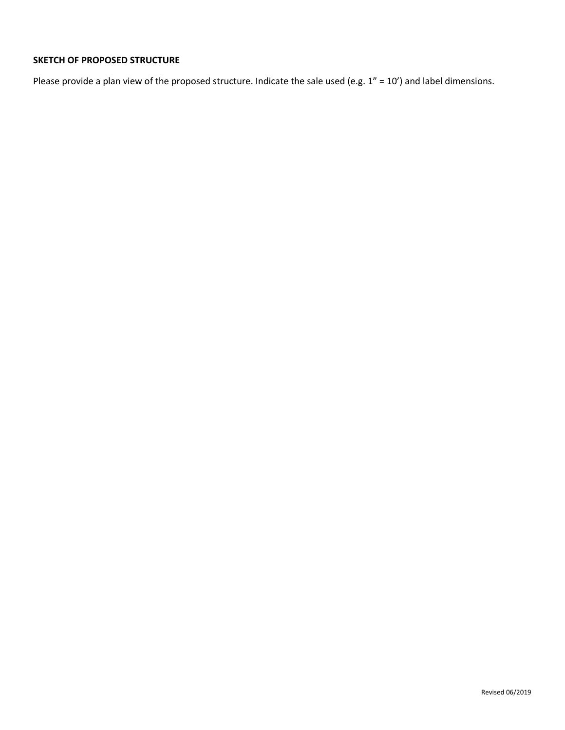## **SKETCH OF PROPOSED STRUCTURE**

Please provide a plan view of the proposed structure. Indicate the sale used (e.g. 1" = 10') and label dimensions.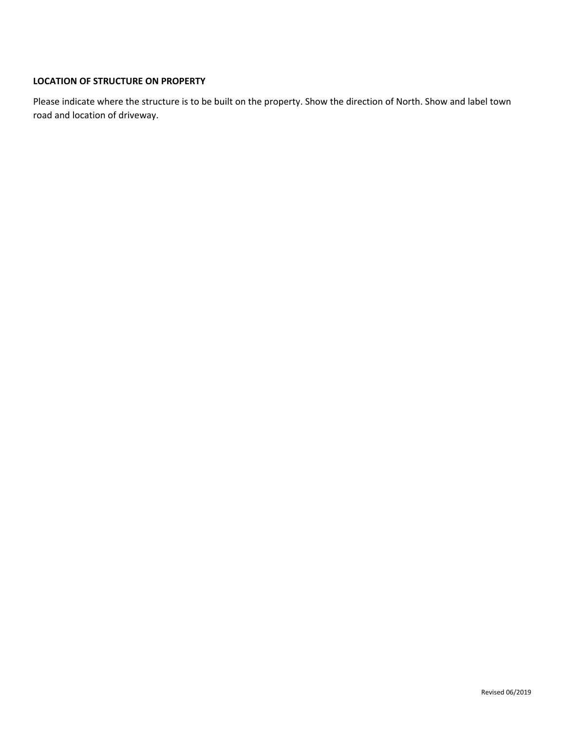## **LOCATION OF STRUCTURE ON PROPERTY**

Please indicate where the structure is to be built on the property. Show the direction of North. Show and label town road and location of driveway.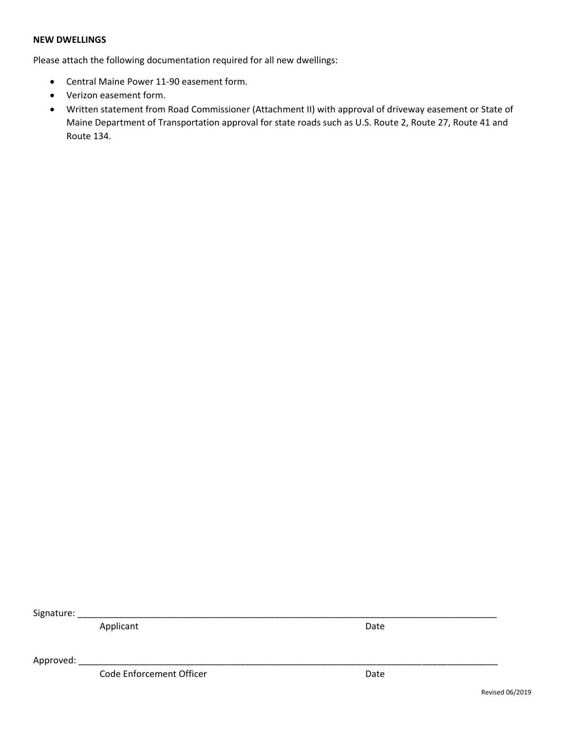#### **NEW DWELLINGS**

Please attach the following documentation required for all new dwellings:

- Central Maine Power 11-90 easement form.
- Verizon easement form.
- Written statement from Road Commissioner (Attachment II) with approval of driveway easement or State of Maine Department of Transportation approval for state roads such as U.S. Route 2, Route 27, Route 41 and Route 134.

Signature:

Applicant Date Date Date

Approved: \_\_\_\_\_\_\_\_\_\_\_\_\_\_\_\_\_\_\_\_\_\_\_\_\_\_\_\_\_\_\_\_\_\_\_\_\_\_\_\_\_\_\_\_\_\_\_\_\_\_\_\_\_\_\_\_\_\_\_\_\_\_\_\_\_\_\_\_\_\_\_\_\_\_\_\_\_\_\_\_\_\_\_

Code Enforcement Officer **Date** Date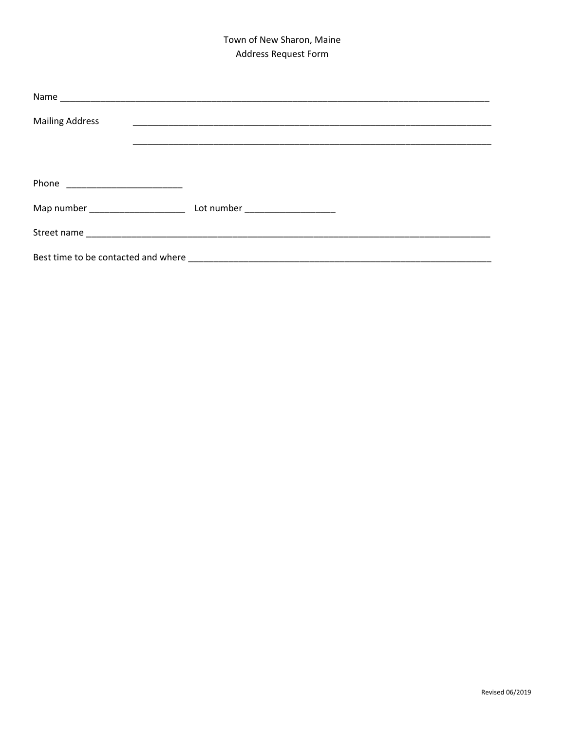# Town of New Sharon, Maine Address Request Form

| <b>Mailing Address</b> |  |
|------------------------|--|
|                        |  |
|                        |  |
|                        |  |
|                        |  |
|                        |  |
|                        |  |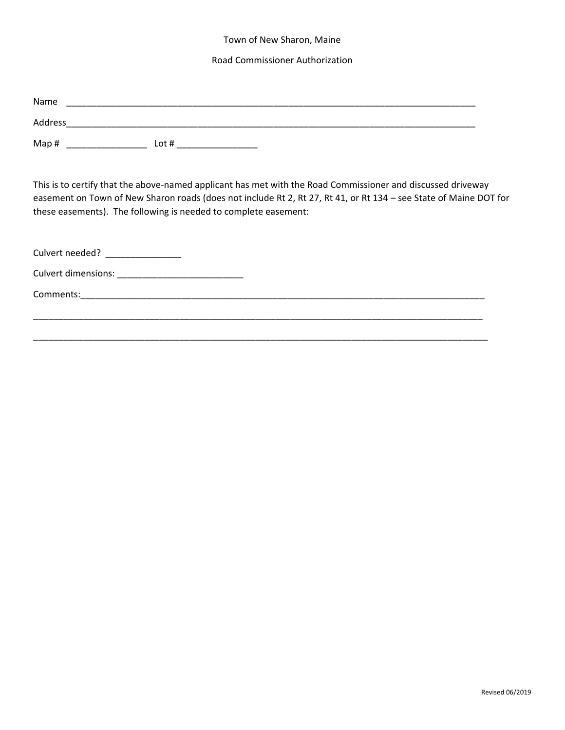### Town of New Sharon, Maine

#### Road Commissioner Authorization

| Name    |         |
|---------|---------|
| Address |         |
| Map#    | Lot $#$ |

This is to certify that the above-named applicant has met with the Road Commissioner and discussed driveway easement on Town of New Sharon roads (does not include Rt 2, Rt 27, Rt 41, or Rt 134 – see State of Maine DOT for these easements). The following is needed to complete easement:

| Culvert needed?     |  |
|---------------------|--|
| Culvert dimensions: |  |
| Comments:           |  |
|                     |  |

\_\_\_\_\_\_\_\_\_\_\_\_\_\_\_\_\_\_\_\_\_\_\_\_\_\_\_\_\_\_\_\_\_\_\_\_\_\_\_\_\_\_\_\_\_\_\_\_\_\_\_\_\_\_\_\_\_\_\_\_\_\_\_\_\_\_\_\_\_\_\_\_\_\_\_\_\_\_\_\_\_\_\_\_\_\_\_\_\_\_